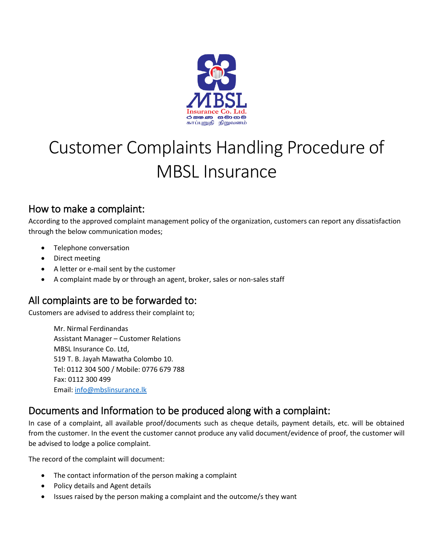

# Customer Complaints Handling Procedure of MBSL Insurance

## How to make a complaint:

According to the approved complaint management policy of the organization, customers can report any dissatisfaction through the below communication modes;

- Telephone conversation
- Direct meeting
- A letter or e-mail sent by the customer
- A complaint made by or through an agent, broker, sales or non-sales staff

## All complaints are to be forwarded to:

Customers are advised to address their complaint to;

Mr. Nirmal Ferdinandas Assistant Manager – Customer Relations MBSL Insurance Co. Ltd, 519 T. B. Jayah Mawatha Colombo 10. Tel: 0112 304 500 / Mobile: 0776 679 788 Fax: 0112 300 499 Email[: info@mbslinsurance.lk](mailto:info@mbslinsurance.lk)

## Documents and Information to be produced along with a complaint:

In case of a complaint, all available proof/documents such as cheque details, payment details, etc. will be obtained from the customer. In the event the customer cannot produce any valid document/evidence of proof, the customer will be advised to lodge a police complaint.

The record of the complaint will document:

- The contact information of the person making a complaint
- Policy details and Agent details
- Issues raised by the person making a complaint and the outcome/s they want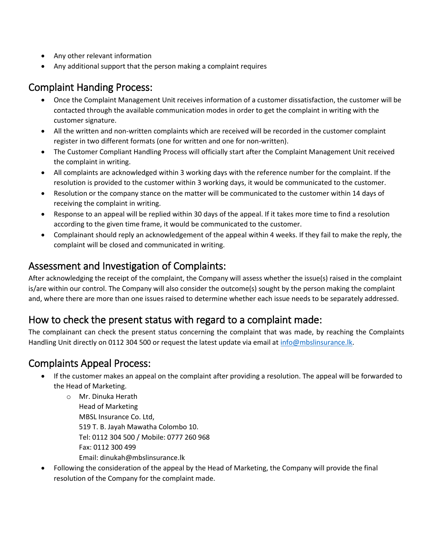- Any other relevant information
- Any additional support that the person making a complaint requires

## Complaint Handing Process:

- Once the Complaint Management Unit receives information of a customer dissatisfaction, the customer will be contacted through the available communication modes in order to get the complaint in writing with the customer signature.
- All the written and non-written complaints which are received will be recorded in the customer complaint register in two different formats (one for written and one for non-written).
- The Customer Compliant Handling Process will officially start after the Complaint Management Unit received the complaint in writing.
- All complaints are acknowledged within 3 working days with the reference number for the complaint. If the resolution is provided to the customer within 3 working days, it would be communicated to the customer.
- Resolution or the company stance on the matter will be communicated to the customer within 14 days of receiving the complaint in writing.
- Response to an appeal will be replied within 30 days of the appeal. If it takes more time to find a resolution according to the given time frame, it would be communicated to the customer.
- Complainant should reply an acknowledgement of the appeal within 4 weeks. If they fail to make the reply, the complaint will be closed and communicated in writing.

## Assessment and Investigation of Complaints:

After acknowledging the receipt of the complaint, the Company will assess whether the issue(s) raised in the complaint is/are within our control. The Company will also consider the outcome(s) sought by the person making the complaint and, where there are more than one issues raised to determine whether each issue needs to be separately addressed.

## How to check the present status with regard to a complaint made:

The complainant can check the present status concerning the complaint that was made, by reaching the Complaints Handling Unit directly on 0112 304 500 or request the latest update via email at [info@mbslinsurance.lk.](mailto:info@mbslinsurance.lk)

## Complaints Appeal Process:

- If the customer makes an appeal on the complaint after providing a resolution. The appeal will be forwarded to the Head of Marketing.
	- o Mr. Dinuka Herath Head of Marketing MBSL Insurance Co. Ltd, 519 T. B. Jayah Mawatha Colombo 10. Tel: 0112 304 500 / Mobile: 0777 260 968 Fax: 0112 300 499 Email: dinukah@mbslinsurance.lk
- Following the consideration of the appeal by the Head of Marketing, the Company will provide the final resolution of the Company for the complaint made.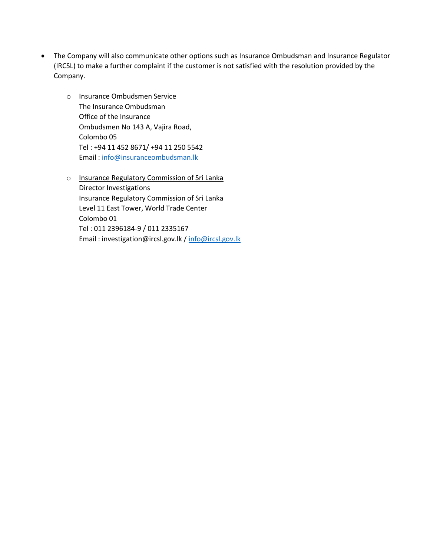- The Company will also communicate other options such as Insurance Ombudsman and Insurance Regulator (IRCSL) to make a further complaint if the customer is not satisfied with the resolution provided by the Company.
	- o Insurance Ombudsmen Service The Insurance Ombudsman Office of the Insurance Ombudsmen No 143 A, Vajira Road, Colombo 05 Tel : +94 11 452 8671/ +94 11 250 5542 Email : [info@insuranceombudsman.lk](mailto:info@insuranceombudsman.lk)
	- o Insurance Regulatory Commission of Sri Lanka Director Investigations Insurance Regulatory Commission of Sri Lanka Level 11 East Tower, World Trade Center Colombo 01 Tel : 011 2396184-9 / 011 2335167 Email : investigation@ircsl.gov.lk / [info@ircsl.gov.lk](mailto:info@ircsl.gov.lk)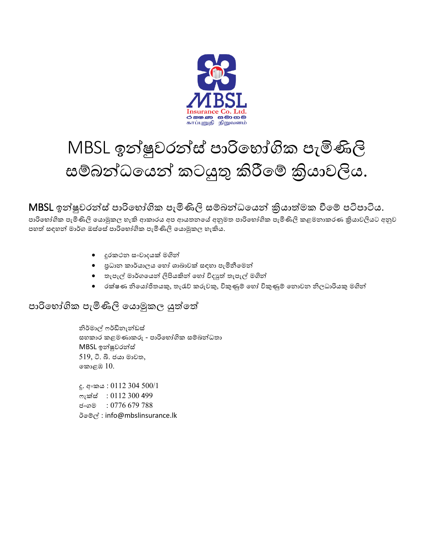

# MBSL ඉන්ෂුවරන්ස් පාරිභෝගික පැමිණිලි සම්බන්ධයෙන් කටයුතු කිරීමේ කියාවලිය.

## MBSL ඉන්ෂුවරන්ස් පාරිභෝගික පැමිණිලි සම්බන්ධයෙන් කියාත්මක වීමේ පටිපාටිය.

පාරිභෝගික පැමිණිලි යොමුකල හැකි ආකාරය අප ආයතනයේ අනුමත පාරිභෝගික පැමිණිලි කළමනාකරණ කියාවලියට අනුව පහත් සඳහන් මාර්ග ඔස්සේ පාරිභෝගික පැමිණිලි යොමුකල හැකිය.

- දුරකථන සංවාදෙක් ගින්
- පුධාන කාර්යාලය හෝ ශාඛාවක් සඳහා පැමිනීමෙන්
- තැපැල් මාර්ගයෙන් ලිපියකින් හෝ විදාූත් තැපැල් මගින්
- රක්ෂණ නිභෙෝජිතෙකු, තැරැව් කරුවකු, විකුණුම් භහෝ විකුණුම් භනොවන නිලධාරිෙකු ගින්

#### පාරිභෝගික පැමිණිලි යොමුකල යුත්තේ

නිර්මාල් ෆර්ඩිනැන්ඩස් සහකාර කළ ණාකරු - පාරිභ ෝගික සම්බන්ධතා MBSL ඉන්ෂුවරන්ස් 519, ටී. බී. ජයා මාවත, භකොළඹ 10.

දූ. අංකය : 0112 304 500/1 ෆැක්ස් : 0112 300 499 ජ∘ගම : 0776 679 788 ඊභම්ල් : info@mbslinsurance.lk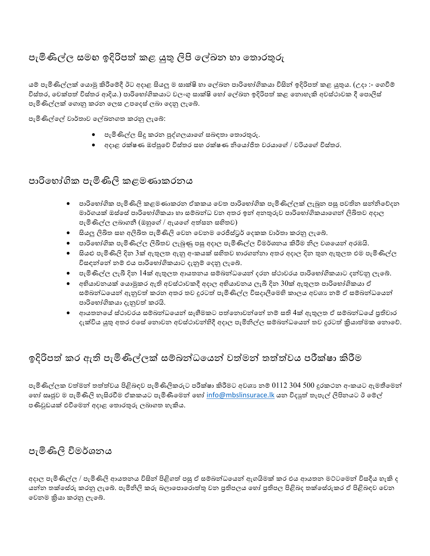## පැමිණිල්ල සමහ ඉදිරිපත් කළ යුතු ලිපි ලේඛන හා තොරතුරු

යම් පැමිණිල්ලක් යොමු කිරීමේදී ඊට අදාළ සියලු ම සාක්ෂි හා ලේඛන පාරිභෝගිකයා විසින් ඉදිරිපත් කළ යුතුය. (උදා :- ගෙවීම් විස්තර, චෙක්පත් විස්තර ආදිය.) පාරිභෝගිකයාට වලංගු සාක්ෂි හෝ ලේඛන ඉදිරිපත් කළ නොහැකි අවස්ථාවක දී පොලිස් පැමිණිල්ලක් භගොනු කරන භලස උපභදස් ලබා භදනු ලැභේ.

පැමිණිල්භල් වාර්තාව භල්ඛනගත කරනු ලැභේ:

- $\bullet$  පැමිණිල්ල සිදු කරන පුද්ගලයාගේ සබඳතා තොරතුරු.
- අදාළ රක්ෂණ ඔප්පුභව් විස්තර සහ රක්ෂණ නිභෙෝජිත වරොභේ / වරිෙභේ විස්තර.

#### පාරිභෝගික පැමිණිලි කළමණාකරනය

- පාරිභෝගික පැමිණිලි කළමණාකරන ඒකකය වෙත පාරිභෝගික පැමිණිල්ලක් ලැබුන පසු පවතින සන්නිවේදන ාර්ගෙක් ඔස්භසේ පාරිභ ෝගිකො හා සම්බන්ධ වන අතර ඉන් අනතුරුව පාරිභ ෝගිකොභගන් ලිඛිතව අදාල පැමිණිල්ල ලබාගනී (ඔහුගේ / ඇයගේ අත්සන සහිතව)
- $\bullet$  සියලු ලිඛිත සහ අලිඛිත පැමිණිලි වෙන වෙනම රෙජිස්ටුර් දෙකක වාර්තා කරනු ලැබේ.
- පාරිභෝගික පැමිණිල්ල ලිඛිතව ලැබුණු පසු අදාල පැමිණිල්ල විමර්ශනය කිරීම නිල වශයෙන් අරඹයි.
- සියළු පැමිණිලි දින 3ක් ඇතුලත ඇතු අංකයක් සහිතව හාරගන්නා අතර අදාල දින තුන ඇතුලත එම පැමිණිල්ල විසඳන්නේ නම් එය පාරිභෝගිකයාට දැනුම් දෙනු ලැබේ.
- $\bullet$  පැමිණිල්ල ලැබී දින  $14$ ක් ඇතුලත ආයතනය සම්බන්ධයෙන් දරන ස්ථාවරය පාරිභෝගිකයාට දන්වනු ලැබේ.
- $\bullet$  අභියාචනයක් යොමුකර ඇති අවස්ථාවකදී අදාල අභියාචනය ලැබී දින  $30$ ක් ඇතුලත පාරිභෝගිකයා ඒ සම්බන්ධයෙන් ඇනුවත් කරන අතර තව දුරටත් පැමිණිල්ල විසදාලීමෙහි කාලය අවශා නම් ඒ සම්බන්ධයෙන් පාරිභෝගිකයා දැනුවත් කරයි.
- ආයතනයේ ස්ථාවරය සම්බන්ධයෙන් සෑහීමකට පත්තොවන්නේ නම් සති 4ක් ඇතුලත ඒ සම්බන්ධයේ පුතිචාර දැක්විය යුතු අතර එසේ තොවන අවස්ථාවන්හිදී අදාල පැමිනිල්ල සම්බන්ධයෙන් තව දුරටත් කියාත්මක නොවේ.

#### ඉදිරිපත් කර ඇති පැමිණිල්ලක් සම්බන්ධයෙන් වත්මන් තත්ත්වය පරීක්ෂා කිරීම

පැමිණිල්ලක වත්මන් තත්ත්වය පිළිබඳව පැමිණිලිකරුට පරීක්ෂා කිරීමට අවශා නම්  $0112$   $304$   $500$  දුරකථන අංකයට ඇමතීමෙන් හෝ සෘජුව ම පැමිණිලි හැසිරවීම ඒකකයට පැමිණීමෙන් හෝ [info@mbslinsurace.lk](mailto:info@mbslinsurace.lk) යන විදාූත් තැපැල් ලිපිනයට ඊ මේල් පණිවුඩෙක් එමේභ න් අදාළ භතොරතුරු ලබාගත හැකිෙ.

#### පැමිණිලි විමර්ශනය

අදාල පැමිණිල්ල / පැමිණිලි ආයතනය විසින් පිළිගත් පසු ඒ සම්බන්ධයෙන් ඇගයිමක් කර එය ආයතන මට්ටමෙන් විසදීය හැකි ද යන්න තක්සේරු කරනු ලැබේ. පැමිනිලි කරු බලාපොරොත්තු වන පුතිපලය හෝ පුතිපල පිළිබද තක්සේරුකර ඒ පිළිබඳව වෙන භවන ක්රිො කරනු ලැභේ.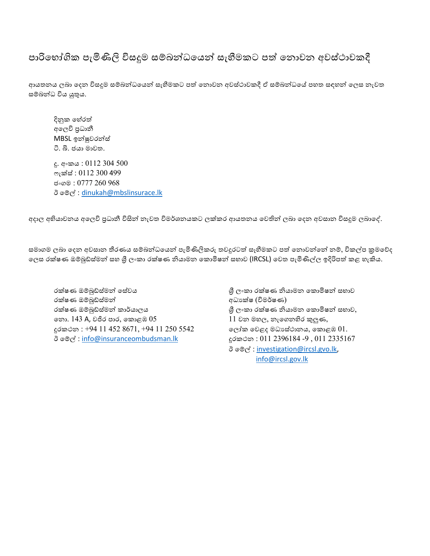#### පාරිභෝගික පැමිණිලි විසදුම සම්බන්ධයෙන් සැහීමකට පත් නොවන අවස්ථාවකදී

ආයතනය ලබා දෙන විසදූම සම්බන්ධයෙන් සැහීමකට පත් නොවන අවස්ථාවකදී ඒ සම්බන්ධයේ පහත සඳහන් ලෙස නැවත සම්බන්ධ විය යුතුය.

දිනුක හේරත් අභලවි ප්රධානී MBSL ඉන්ෂුවරන්ස් ටි. බි. ජයා මාවත.

දු. අංකෙ : 0112 304 500 ෆැක්ස් : 0112 300 499 ජ∘ගම : 0777 260 968 ඊ භම්ල් : [dinukah@mbslinsurace.lk](mailto:dinukah@mbslinsurace.lk)

අදාල අභියාවනය අලෙවි පුධානී විසින් නැවත විමර්ශනයකට ලක්කර ආයතනය වෙතින් ලබා දෙන අවසාන විසදුම ලබාදේ.

සමාගම ලබා දෙන අවසාන තීරණය සම්බන්ධයෙන් පැමිණිලිකරු තවදුරටත් සෑහීමකට පත් නොවන්නේ නම්, විකල්ප කුමවේද ලෙස රක්ෂණ ඔම්බුඩ්ස්මන් සහ ශී ලංකා රක්ෂණ නියාමන කොමිෂන් සභාව (IRCSL) වෙත පැමිණිල්ල ඉදිරිපත් කළ හැකිය.

රක්ෂණ ඔම්බුඩ්ස් න් භසේවෙ ශ්රී ලංකා රක්ෂණ නිො න භකොමිෂන් ස ාව රක්ෂණ ඔම්බුඩ්ස්මන් අධාන් අධාන්ෂ (විමර්ෂණ) රක්ෂණ ඔම්බුඩ්ස්මන් කාර්යාලය ශී ලංකා රක්ෂණ නියාමන කොමිෂන් සභාව, භො. 143 A, වජිර පාර, කොළඹ  $05$  11 වන මහල, නැගෙනහිර කුලුණ, දුරකථන : +94 11 452 8671, +94 11 250 5542 ලෝක වෙළද මධාස්ථානය, කොළඹ 01. ඊ මේල් : [info@insuranceombudsman.lk](mailto:info@insuranceombudsman.lk) දුරකථන : 011 2396184 -9 , 011 2335167

 ඊ භම්ල් : [investigation@ircsl.gvo.lk,](mailto:investigation@ircsl.gvo.lk) [info@ircsl.gov.lk](mailto:info@ircsl.gov.lk)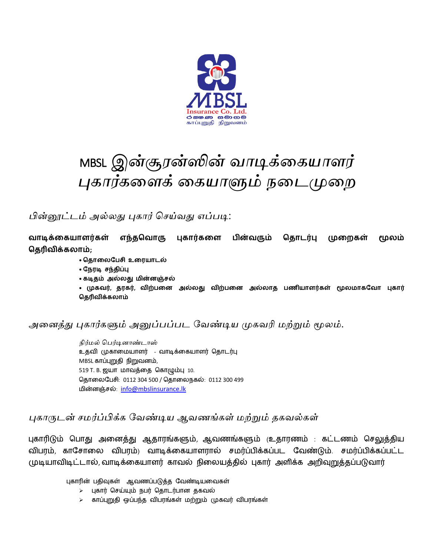

## MBSL *இன்சூரன்ஸின் வாடிக்கையாளர் புைார்ைகளக் கையாளும் நகைமுகை*

*பின்னூட்ைம் அல்லது புைார் செய்வது எப்படி*:

**வாடிக்கையாளர்ைள் எந்தவவாரு புைார்ைகள பின்வரும் வதாடர்பு முகைைள் மூலம் வதரிவிக்ைலாம்;**

- **வதாகலபபசி உகையாடல்**
- **பேைடி சந்திப்பு**
- **ைடிதம் அல்லது மின்னஞ்சல்**

**• முைவர், தைைர், விற்பகன அல்லது விற்பகன அல்லாத பணியாளர்ைள் மூலமாைபவா புைார் வதரிவிக்ைலாம்**

*அகைத்து புைார்ைளும் அனுப்பப்பை வவண்டிய முைவரி மற்றும் மூலம்*.

*நிர்மல் பெர்டினாண்டாஸ்* உதவி முகாமையாளர் - வாடிக்மகயாளர் ததாடர்பு MBSL காப்புறுதி நிறுவனம், 519 T. B. ஜயா மாவத்தை கொழும்பு 10. ததாமைபேசி: 0112 304 500 / ததாமைநகல்: 0112 300 499 ைின்னஞ்சல்: [info@mbslinsurance.lk](mailto:info@mbslinsurance.lk)

*புைாருைன் ெமர்ப்பிக்ை வவண்டிய ஆவணங்ைள் மற்றும் தைவல்ைள்*

புகாரிடும் தோது அமனத்து ஆதாரங்களும், ஆவணங்களும் (உதாரணம் : கட்டணம் தசலுத்திய விபரம், காசோலை விபரம்) வாடிக்கையாளரால் சமர்ப்பிக்கப்பட வேண்டும். சமர்ப்பிக்கப்பட்ட முடியாவிடிட்டால், வாடிக்மகயாளர் காவல் நிமையத்தில் புகார் அளிக்க அறிவுறுத்தப்ேடுவார்

புகாரின் பதிவுகள் ஆவணப்படுத்த வேண்டியவைகள்

- $\geq$  புகார் செய்யும் நபர் தொடர்பான தகவல்
- $>$  காப்புறுதி ஒப்பந்த விபரங்கள் மற்றும் முகவர் விபரங்கள்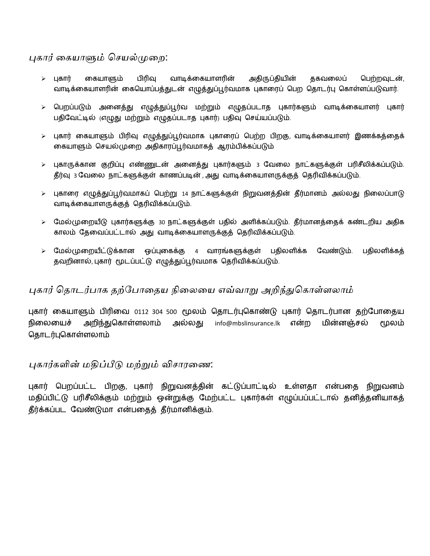*புைார் கையாளும் செயல்முகை*:

- $\triangleright$  புகார் கையாளும் பிரிவு வாடிக்கையாளரின் அதிருப்தியின் தகவலைப் பெற்றவுடன், வாடிக்கையாளரின் கையொப்பத்துடன் எழுத்துப்பூர்வமாக புகாரைப் பெற தொடர்பு கொள்ளப்படுவார்.
- $\triangleright$  பெறப்படும் அனைத்து எழுத்துப்பூர்வ மற்றும் எழுதப்படாத புகார்களும் வாடிக்கையாளர் புகார் பதிவேட்டில் (எழுது மற்றும் எழுதப்படாத புகார்) பதிவு செய்யப்படும்.
- $\triangleright$  புகார் கையாளும் பிரிவு எழுத்துப்பூர்வமாக புகாரைப் பெற்ற பிறகு, வாடிக்கையாளர் இணக்கத்தைக் கையாளும் செயல்முறை அதிகாரப்பூர்வமாகத் ஆரம்பிக்கப்படும்
- $\triangleright$  புகாருக்கான குறிப்பு எண்ணுடன் அனைத்து புகார்களும் 3 வேலை நாட்களுக்குள் பரிசீலிக்கப்படும். தீர்வு 3 வேலை நாட்களுக்குள் காணப்படின் , அது வாடிக்கையாளருக்குத் தெரிவிக்கப்படும்.
- $\triangleright$  புகாரை எழுத்துப்பூர்வமாகப் பெற்று 14 நாட்களுக்குள் நிறுவனத்தின் தீர்மானம் அல்லது நிலைப்பாடு வாடிக்கையாளருக்குத் தெரிவிக்கப்படும்.
- $>$  மேல்(முறையீடு புகார்களுக்கு 30 நாட்களுக்குள் பதில் அளிக்கப்படும். தீர்மானத்தைக் கண்டறிய அதிக காலம் தேவைப்பட்டால் அது வாடிக்கையாளருக்குக் தெரிவிக்கப்படும்.
- $\triangleright$  மேல்முறையீட்டுக்கான ஒப்புகைக்கு 4 வாரங்களுக்குள் பதிலளிக்க வேண்டும். பதிலளிக்கத் தவறினால், புகார் மூடப்பட்டு எழுத்துப்பூர்வமாக தெரிவிக்கப்படும்.

#### *புைார் சதாைர்பாை தற்வபாகதய நிகலகய எவ்வாறு அறிந்துசைாள்ளலாம்*

புகார் கையாளும் பிரிவை 0112 304 500 மூலம் தொடர்புகொண்டு புகார் தொடர்பான தற்போதைய நிலையைச் அறிந்துகொள்ளலாம் அல்லது info@mbslinsurance.lk என்ற மின்னஞ்சல் மூலம் தொடர்புகொள்ளலாம்

#### *புைார்ைளின் மதிப்பீடு மற்றும் விொரகண*:

புகார் பெறப்பட்ட பிறகு, புகார் நிறுவனத்தின் கட்டுப்பாட்டில் உள்ளதா என்பதை நிறுவனம் மதிப்பிட்டு பரிசீலிக்கும் மற்றும் ஒன்றுக்கு மேற்பட்ட புகார்கள் எழுப்பப்பட்டால் தனித்தனியாகத் தீர்க்கப்பட வேண்டுமா என்பதைத் தீர்மானிக்கும்.